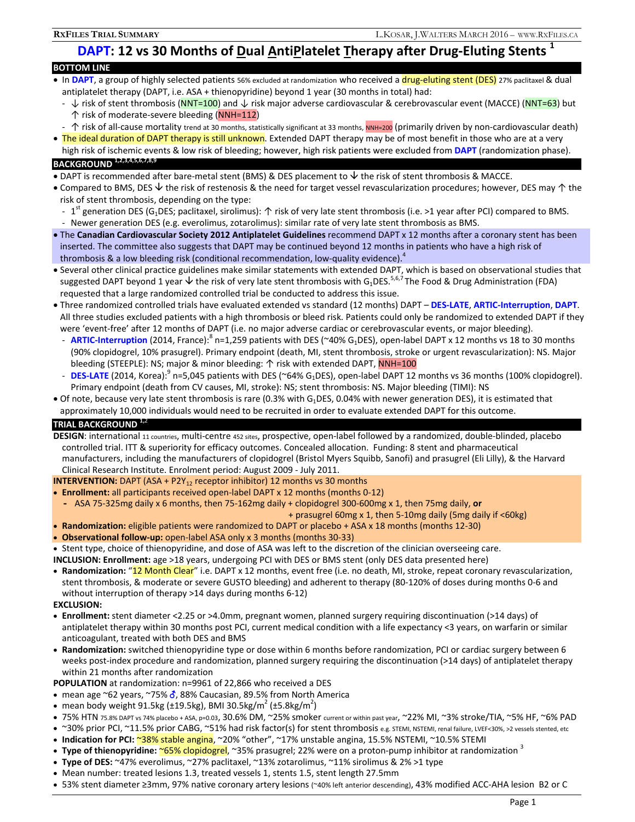# **DAPT: 12 vs 30 Months of Dual AntiPlatelet Therapy after Drug-Eluting Stents <sup>1</sup>**

| <b>BOTTOM LINE</b>                                                                                                                         |  |
|--------------------------------------------------------------------------------------------------------------------------------------------|--|
| • In DAPT, a group of highly selected patients 56% excluded at randomization who received a drug-eluting stent (DES) 27% paclitaxel & dual |  |
| antiplatelet therapy (DAPT, i.e. ASA + thienopyridine) beyond 1 year (30 months in total) had:                                             |  |

- ↓ risk of stent thrombosis (NNT=100) and ↓ risk major adverse cardiovascular & cerebrovascular event (MACCE) (NNT=63) but ↑ risk of moderate-severe bleeding (NNH=112)
- 个 risk of all-cause mortality trend at 30 months, statistically significant at 33 months, NNH=200 (primarily driven by non-cardiovascular death)
- The ideal duration of DAPT therapy is still unknown. Extended DAPT therapy may be of most benefit in those who are at a very high risk of ischemic events & low risk of bleeding; however, high risk patients were excluded from **DAPT** (randomization phase).

## **BACKGROUND 1,2,3,4,5,6,7,8,9**

- DAPT is recommended after bare-metal stent (BMS) & DES placement to  $\vee$  the risk of stent thrombosis & MACCE.
- Compared to BMS, DES  $\vee$  the risk of restenosis & the need for target vessel revascularization procedures; however, DES may ↑ the risk of stent thrombosis, depending on the type:
	- 1<sup>st</sup> generation DES (G<sub>1</sub>DES; paclitaxel, sirolimus):  $\uparrow$  risk of very late stent thrombosis (i.e. >1 year after PCI) compared to BMS. Newer generation DES (e.g. everolimus, zotarolimus): similar rate of very late stent thrombosis as BMS.
- The **Canadian Cardiovascular Society 2012 Antiplatelet Guidelines** recommend DAPT x 12 months after a coronary stent has been inserted. The committee also suggests that DAPT may be continued beyond 12 months in patients who have a high risk of thrombosis & a low bleeding risk (conditional recommendation, low-quality evidence). $4$
- Several other clinical practice guidelines make similar statements with extended DAPT, which is based on observational studies that suggested DAPT beyond 1 year  $\vee$  the risk of very late stent thrombosis with G<sub>1</sub>DES.<sup>5,6,7</sup> The Food & Drug Administration (FDA) requested that a large randomized controlled trial be conducted to address this issue.
- Three randomized controlled trials have evaluated extended vs standard (12 months) DAPT – **DES-LATE**, **ARTIC-Interruption**, **DAPT**. All three studies excluded patients with a high thrombosis or bleed risk. Patients could only be randomized to extended DAPT if they were 'event-free' after 12 months of DAPT (i.e. no major adverse cardiac or cerebrovascular events, or major bleeding).
	- ARTIC-Interruption (2014, France):<sup>8</sup> n=1,259 patients with DES (~40% G<sub>1</sub>DES), open-label DAPT x 12 months vs 18 to 30 months (90% clopidogrel, 10% prasugrel). Primary endpoint (death, MI, stent thrombosis, stroke or urgent revascularization): NS. Major bleeding (STEEPLE): NS; major & minor bleeding: ↑ risk with extended DAPT, NNH=100
- DES-LATE (2014, Korea):<sup>9</sup> n=5,045 patients with DES (~64% G<sub>1</sub>DES), open-label DAPT 12 months vs 36 months (100% clopidogrel). Primary endpoint (death from CV causes, MI, stroke): NS; stent thrombosis: NS. Major bleeding (TIMI): NS
- Of note, because very late stent thrombosis is rare (0.3% with G<sub>1</sub>DES, 0.04% with newer generation DES), it is estimated that approximately 10,000 individuals would need to be recruited in order to evaluate extended DAPT for this outcome.

### **TRIAL BACKGROUND 1,**<sup>2</sup>

**DESIGN**: international 11 countries, multi-centre 452 sites, prospective, open-label followed by a randomized, double-blinded, placebo controlled trial. ITT & superiority for efficacy outcomes. Concealed allocation. Funding: 8 stent and pharmaceutical manufacturers, including the manufacturers of clopidogrel (Bristol Myers Squibb, Sanofi) and prasugrel (Eli Lilly), & the Harvard Clinical Research Institute. Enrolment period: August 2009 - July 2011.

**INTERVENTION:** DAPT (ASA + P2Y<sub>12</sub> receptor inhibitor) 12 months vs 30 months

- **Enrollment:** all participants received open-label DAPT x 12 months (months 0-12)
- **-** ASA 75-325mg daily x 6 months, then 75-162mg daily + clopidogrel 300-600mg x 1, then 75mg daily, **or**
- + prasugrel 60mg x 1, then 5-10mg daily (5mg daily if <60kg)
- **Randomization:** eligible patients were randomized to DAPT or placebo + ASA x 18 months (months 12-30)
- **Observational follow-up:** open-label ASA only x 3 months (months 30-33)
- Stent type, choice of thienopyridine, and dose of ASA was left to the discretion of the clinician overseeing care.
- **INCLUSION: Enrollment:** age >18 years, undergoing PCI with DES or BMS stent (only DES data presented here)
- **Randomization:** "12 Month Clear" i.e. DAPT x 12 months, event free (i.e. no death, MI, stroke, repeat coronary revascularization, stent thrombosis, & moderate or severe GUSTO bleeding) and adherent to therapy (80-120% of doses during months 0-6 and without interruption of therapy >14 days during months 6-12)

#### **EXCLUSION:**

- **Enrollment:** stent diameter <2.25 or >4.0mm, pregnant women, planned surgery requiring discontinuation (>14 days) of antiplatelet therapy within 30 months post PCI, current medical condition with a life expectancy <3 years, on warfarin or similar anticoagulant, treated with both DES and BMS
- **Randomization:** switched thienopyridine type or dose within 6 months before randomization, PCI or cardiac surgery between 6 weeks post-index procedure and randomization, planned surgery requiring the discontinuation (>14 days) of antiplatelet therapy within 21 months after randomization

**POPULATION** at randomization: n=9961 of 22,866 who received a DES

- mean age  $\sim$ 62 years,  $\sim$ 75%  $\sigma$ , 88% Caucasian, 89.5% from North America
- mean body weight 91.5kg (±19.5kg), BMI 30.5kg/m<sup>2</sup> (±5.8kg/m<sup>2</sup>)
- 75% HTN 75.8% DAPT vs 74% placebo + ASA, p=0.03, 30.6% DM, ~25% smoker current or within past year, ~22% MI, ~3% stroke/TIA, ~5% HF, ~6% PAD
- ~30% prior PCI, ~11.5% prior CABG, ~51% had risk factor(s) for stent thrombosis e.g. STEMI, NSTEMI, renal failure, LVEF<30%, >2 vessels stented, etc
- Indication for PCI: <mark>~38% stable angina</mark>, ~20% "other", ~17% unstable angina, 15.5% NSTEMI, ~10.5% STEMI
- **Type of thienopyridine:** ~65% clopidogrel, ~35% prasugrel; 22% were on a proton-pump inhibitor at randomization 3
- **Type of DES:** ~47% everolimus, ~27% paclitaxel, ~13% zotarolimus, ~11% sirolimus & 2% >1 type
- Mean number: treated lesions 1.3, treated vessels 1, stents 1.5, stent length 27.5mm
- 53% stent diameter ≥3mm, 97% native coronary artery lesions (~40% left anterior descending), 43% modified ACC-AHA lesion B2 or C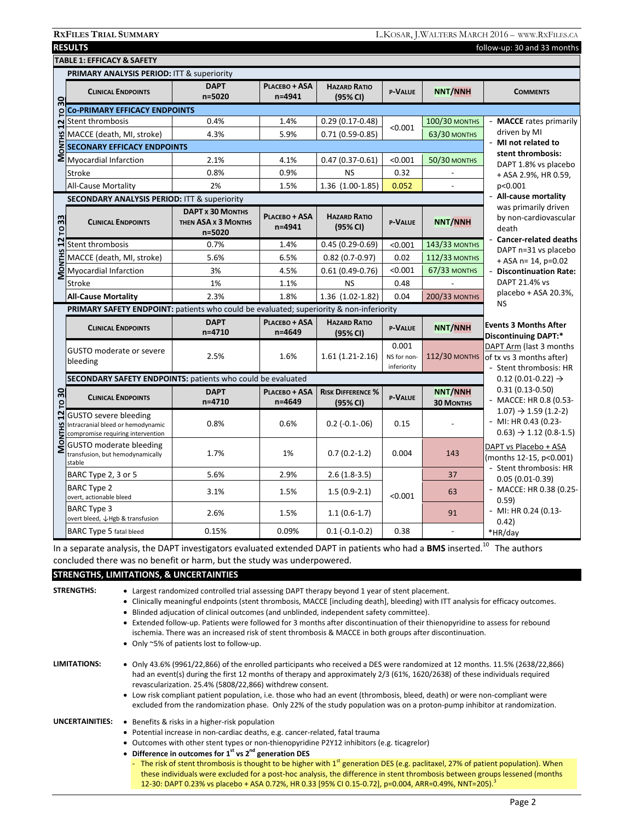| <b>PRIMARY ANALYSIS PERIOD: ITT &amp; superiority</b><br><b>DAPT</b><br>PLACEBO + ASA<br><b>HAZARD RATIO</b><br><b>NNT/NNH</b><br><b>CLINICAL ENDPOINTS</b><br>P-VALUE<br><b>COMMENTS</b><br>$n = 5020$<br>n=4941<br>(95% CI)<br>30<br><b>Co-PRIMARY EFFICACY ENDPOINTS</b><br>p<br>0.4%<br>- MACCE rates primarily<br>Stent thrombosis<br>1.4%<br>$0.29(0.17-0.48)$<br><b>100/30 MONTHS</b><br>2<br>< 0.001<br>driven by MI<br>MACCE (death, MI, stra<br>SOS SECONARY EFFICACY E<br>SOS Myocardial Infarction<br>4.3%<br>5.9%<br>$0.71(0.59-0.85)$<br><b>63/30 MONTHS</b><br>MACCE (death, MI, stroke)<br>- MI not related to<br><b>SECONARY EFFICACY ENDPOINTS</b><br>stent thrombosis:<br>2.1%<br>$0.47(0.37-0.61)$<br>< 0.001<br><b>50/30 MONTHS</b><br>4.1%<br>DAPT 1.8% vs placebo<br>0.8%<br>0.9%<br><b>NS</b><br>0.32<br><b>Stroke</b><br>+ ASA 2.9%, HR 0.59,<br>2%<br>1.36 (1.00-1.85)<br>0.052<br>p<0.001<br><b>All-Cause Mortality</b><br>1.5%<br>- All-cause mortality<br><b>SECONDARY ANALYSIS PERIOD: ITT &amp; superiority</b><br>was primarily driven<br><b>DAPT x 30 MONTHS</b><br>PLACEBO + ASA<br><b>HAZARD RATIO</b><br>by non-cardiovascular<br>33<br><b>NNT/NNH</b><br><b>P-VALUE</b><br><b>CLINICAL ENDPOINTS</b><br>THEN ASA <b>x 3 MONTHS</b><br>n=4941<br>(95% CI)<br>death<br>p<br>n=5020<br>- Cancer-related deaths<br>12<br>Stent thrombosis<br>0.7%<br>1.4%<br>$0.45(0.29-0.69)$<br>143/33 MONTHS<br>< 0.001<br>DAPT n=31 vs placebo<br><b>MONTHS</b><br>5.6%<br>6.5%<br>$0.82(0.7-0.97)$<br>0.02<br>MACCE (death, MI, stroke)<br><b>112/33 MONTHS</b><br>$+$ ASA n= 14, p=0.02<br>3%<br>< 0.001<br><b>67/33 MONTHS</b><br>Myocardial Infarction<br>4.5%<br>$0.61(0.49-0.76)$<br>- Discontinuation Rate:<br>DAPT 21.4% vs<br>1%<br>Stroke<br>1.1%<br><b>NS</b><br>0.48<br>placebo + ASA 20.3%,<br>1.36 (1.02-1.82)<br>2.3%<br>1.8%<br>0.04<br><b>200/33 MONTHS</b><br><b>All-Cause Mortality</b><br><b>NS</b><br>PRIMARY SAFETY ENDPOINT: patients who could be evaluated; superiority & non-inferiority<br><b>DAPT</b><br>PLACEBO + ASA<br><b>HAZARD RATIO</b><br><b>Events 3 Months After</b><br><b>P-VALUE</b><br><b>NNT/NNH</b><br><b>CLINICAL ENDPOINTS</b><br>$n = 4710$<br>$n = 4649$<br>(95% CI)<br><b>Discontinuing DAPT:*</b><br>0.001<br>DAPT Arm (last 3 months<br>GUSTO moderate or severe<br><b>112/30 MONTHS</b><br>2.5%<br>1.6%<br>$1.61(1.21-2.16)$<br>NS for non-<br>of tx vs 3 months after)<br>bleeding<br>inferiority<br>- Stent thrombosis: HR<br><b>SECONDARY SAFETY ENDPOINTS: patients who could be evaluated</b><br>$0.12(0.01-0.22) \rightarrow$<br>$0.31(0.13 - 0.50)$<br><b>NNT/NNH</b><br>TO 30<br><b>DAPT</b><br>PLACEBO + ASA<br><b>RISK DIFFERENCE %</b><br>P-VALUE<br><b>CLINICAL ENDPOINTS</b><br>- MACCE: HR 0.8 (0.53-<br>$n = 4710$<br>n=4649<br><b>30 MONTHS</b><br>(95% CI)<br>$1.07$ ) $\rightarrow$ 1.59 (1.2-2)<br>$\overline{12}$<br><b>GUSTO</b> severe bleeding<br>$-$ MI: HR 0.43 (0.23-<br>0.8%<br>0.6%<br>$0.2$ ( $-0.1$ $-0.06$ )<br>0.15<br><b>MONTHS</b><br>Intracranial bleed or hemodynamic<br>$0.63$ ) $\rightarrow$ 1.12 (0.8-1.5)<br>compromise requiring intervention<br><b>GUSTO moderate bleeding</b><br>DAPT vs Placebo + ASA<br>1.7%<br>1%<br>$0.7(0.2-1.2)$<br>0.004<br>143<br>transfusion, but hemodynamically<br>(months 12-15, p<0.001)<br>stable<br>- Stent thrombosis: HR<br>5.6%<br>2.9%<br>BARC Type 2, 3 or 5<br>$2.6(1.8-3.5)$<br>37<br>$0.05(0.01-0.39)$<br><b>BARC Type 2</b><br>- MACCE: HR 0.38 (0.25-<br>63<br>3.1%<br>1.5%<br>$1.5(0.9-2.1)$<br>< 0.001<br>overt, actionable bleed<br>0.59)<br><b>BARC Type 3</b><br>$-$ MI: HR 0.24 (0.13-<br>2.6%<br>1.5%<br>91<br>$1.1(0.6-1.7)$<br>overt bleed, ↓Hgb & transfusion<br>0.42)<br>0.15%<br>0.09%<br>$0.1(-0.1-0.2)$<br>0.38<br><b>BARC Type 5 fatal bleed</b><br>*HR/day |  | <b>TABLE 1: EFFICACY &amp; SAFETY</b> |  |  |  |  |  |  |  |
|----------------------------------------------------------------------------------------------------------------------------------------------------------------------------------------------------------------------------------------------------------------------------------------------------------------------------------------------------------------------------------------------------------------------------------------------------------------------------------------------------------------------------------------------------------------------------------------------------------------------------------------------------------------------------------------------------------------------------------------------------------------------------------------------------------------------------------------------------------------------------------------------------------------------------------------------------------------------------------------------------------------------------------------------------------------------------------------------------------------------------------------------------------------------------------------------------------------------------------------------------------------------------------------------------------------------------------------------------------------------------------------------------------------------------------------------------------------------------------------------------------------------------------------------------------------------------------------------------------------------------------------------------------------------------------------------------------------------------------------------------------------------------------------------------------------------------------------------------------------------------------------------------------------------------------------------------------------------------------------------------------------------------------------------------------------------------------------------------------------------------------------------------------------------------------------------------------------------------------------------------------------------------------------------------------------------------------------------------------------------------------------------------------------------------------------------------------------------------------------------------------------------------------------------------------------------------------------------------------------------------------------------------------------------------------------------------------------------------------------------------------------------------------------------------------------------------------------------------------------------------------------------------------------------------------------------------------------------------------------------------------------------------------------------------------------------------------------------------------------------------------------------------------------------------------------------------------------------------------------------------------------------------------------------------------------------------------------------------------------------------------------------------------------------------------------------------------------------------------------------------------------------------------------------------------------------------------------------------------------------------------------------------------------------------------------------------------------------------------------------------------------------------------------------------------------------------------------|--|---------------------------------------|--|--|--|--|--|--|--|
|                                                                                                                                                                                                                                                                                                                                                                                                                                                                                                                                                                                                                                                                                                                                                                                                                                                                                                                                                                                                                                                                                                                                                                                                                                                                                                                                                                                                                                                                                                                                                                                                                                                                                                                                                                                                                                                                                                                                                                                                                                                                                                                                                                                                                                                                                                                                                                                                                                                                                                                                                                                                                                                                                                                                                                                                                                                                                                                                                                                                                                                                                                                                                                                                                                                                                                                                                                                                                                                                                                                                                                                                                                                                                                                                                                                                                                        |  |                                       |  |  |  |  |  |  |  |
|                                                                                                                                                                                                                                                                                                                                                                                                                                                                                                                                                                                                                                                                                                                                                                                                                                                                                                                                                                                                                                                                                                                                                                                                                                                                                                                                                                                                                                                                                                                                                                                                                                                                                                                                                                                                                                                                                                                                                                                                                                                                                                                                                                                                                                                                                                                                                                                                                                                                                                                                                                                                                                                                                                                                                                                                                                                                                                                                                                                                                                                                                                                                                                                                                                                                                                                                                                                                                                                                                                                                                                                                                                                                                                                                                                                                                                        |  |                                       |  |  |  |  |  |  |  |
|                                                                                                                                                                                                                                                                                                                                                                                                                                                                                                                                                                                                                                                                                                                                                                                                                                                                                                                                                                                                                                                                                                                                                                                                                                                                                                                                                                                                                                                                                                                                                                                                                                                                                                                                                                                                                                                                                                                                                                                                                                                                                                                                                                                                                                                                                                                                                                                                                                                                                                                                                                                                                                                                                                                                                                                                                                                                                                                                                                                                                                                                                                                                                                                                                                                                                                                                                                                                                                                                                                                                                                                                                                                                                                                                                                                                                                        |  |                                       |  |  |  |  |  |  |  |
|                                                                                                                                                                                                                                                                                                                                                                                                                                                                                                                                                                                                                                                                                                                                                                                                                                                                                                                                                                                                                                                                                                                                                                                                                                                                                                                                                                                                                                                                                                                                                                                                                                                                                                                                                                                                                                                                                                                                                                                                                                                                                                                                                                                                                                                                                                                                                                                                                                                                                                                                                                                                                                                                                                                                                                                                                                                                                                                                                                                                                                                                                                                                                                                                                                                                                                                                                                                                                                                                                                                                                                                                                                                                                                                                                                                                                                        |  |                                       |  |  |  |  |  |  |  |
|                                                                                                                                                                                                                                                                                                                                                                                                                                                                                                                                                                                                                                                                                                                                                                                                                                                                                                                                                                                                                                                                                                                                                                                                                                                                                                                                                                                                                                                                                                                                                                                                                                                                                                                                                                                                                                                                                                                                                                                                                                                                                                                                                                                                                                                                                                                                                                                                                                                                                                                                                                                                                                                                                                                                                                                                                                                                                                                                                                                                                                                                                                                                                                                                                                                                                                                                                                                                                                                                                                                                                                                                                                                                                                                                                                                                                                        |  |                                       |  |  |  |  |  |  |  |
|                                                                                                                                                                                                                                                                                                                                                                                                                                                                                                                                                                                                                                                                                                                                                                                                                                                                                                                                                                                                                                                                                                                                                                                                                                                                                                                                                                                                                                                                                                                                                                                                                                                                                                                                                                                                                                                                                                                                                                                                                                                                                                                                                                                                                                                                                                                                                                                                                                                                                                                                                                                                                                                                                                                                                                                                                                                                                                                                                                                                                                                                                                                                                                                                                                                                                                                                                                                                                                                                                                                                                                                                                                                                                                                                                                                                                                        |  |                                       |  |  |  |  |  |  |  |
|                                                                                                                                                                                                                                                                                                                                                                                                                                                                                                                                                                                                                                                                                                                                                                                                                                                                                                                                                                                                                                                                                                                                                                                                                                                                                                                                                                                                                                                                                                                                                                                                                                                                                                                                                                                                                                                                                                                                                                                                                                                                                                                                                                                                                                                                                                                                                                                                                                                                                                                                                                                                                                                                                                                                                                                                                                                                                                                                                                                                                                                                                                                                                                                                                                                                                                                                                                                                                                                                                                                                                                                                                                                                                                                                                                                                                                        |  |                                       |  |  |  |  |  |  |  |
|                                                                                                                                                                                                                                                                                                                                                                                                                                                                                                                                                                                                                                                                                                                                                                                                                                                                                                                                                                                                                                                                                                                                                                                                                                                                                                                                                                                                                                                                                                                                                                                                                                                                                                                                                                                                                                                                                                                                                                                                                                                                                                                                                                                                                                                                                                                                                                                                                                                                                                                                                                                                                                                                                                                                                                                                                                                                                                                                                                                                                                                                                                                                                                                                                                                                                                                                                                                                                                                                                                                                                                                                                                                                                                                                                                                                                                        |  |                                       |  |  |  |  |  |  |  |
|                                                                                                                                                                                                                                                                                                                                                                                                                                                                                                                                                                                                                                                                                                                                                                                                                                                                                                                                                                                                                                                                                                                                                                                                                                                                                                                                                                                                                                                                                                                                                                                                                                                                                                                                                                                                                                                                                                                                                                                                                                                                                                                                                                                                                                                                                                                                                                                                                                                                                                                                                                                                                                                                                                                                                                                                                                                                                                                                                                                                                                                                                                                                                                                                                                                                                                                                                                                                                                                                                                                                                                                                                                                                                                                                                                                                                                        |  |                                       |  |  |  |  |  |  |  |
|                                                                                                                                                                                                                                                                                                                                                                                                                                                                                                                                                                                                                                                                                                                                                                                                                                                                                                                                                                                                                                                                                                                                                                                                                                                                                                                                                                                                                                                                                                                                                                                                                                                                                                                                                                                                                                                                                                                                                                                                                                                                                                                                                                                                                                                                                                                                                                                                                                                                                                                                                                                                                                                                                                                                                                                                                                                                                                                                                                                                                                                                                                                                                                                                                                                                                                                                                                                                                                                                                                                                                                                                                                                                                                                                                                                                                                        |  |                                       |  |  |  |  |  |  |  |
|                                                                                                                                                                                                                                                                                                                                                                                                                                                                                                                                                                                                                                                                                                                                                                                                                                                                                                                                                                                                                                                                                                                                                                                                                                                                                                                                                                                                                                                                                                                                                                                                                                                                                                                                                                                                                                                                                                                                                                                                                                                                                                                                                                                                                                                                                                                                                                                                                                                                                                                                                                                                                                                                                                                                                                                                                                                                                                                                                                                                                                                                                                                                                                                                                                                                                                                                                                                                                                                                                                                                                                                                                                                                                                                                                                                                                                        |  |                                       |  |  |  |  |  |  |  |
|                                                                                                                                                                                                                                                                                                                                                                                                                                                                                                                                                                                                                                                                                                                                                                                                                                                                                                                                                                                                                                                                                                                                                                                                                                                                                                                                                                                                                                                                                                                                                                                                                                                                                                                                                                                                                                                                                                                                                                                                                                                                                                                                                                                                                                                                                                                                                                                                                                                                                                                                                                                                                                                                                                                                                                                                                                                                                                                                                                                                                                                                                                                                                                                                                                                                                                                                                                                                                                                                                                                                                                                                                                                                                                                                                                                                                                        |  |                                       |  |  |  |  |  |  |  |
|                                                                                                                                                                                                                                                                                                                                                                                                                                                                                                                                                                                                                                                                                                                                                                                                                                                                                                                                                                                                                                                                                                                                                                                                                                                                                                                                                                                                                                                                                                                                                                                                                                                                                                                                                                                                                                                                                                                                                                                                                                                                                                                                                                                                                                                                                                                                                                                                                                                                                                                                                                                                                                                                                                                                                                                                                                                                                                                                                                                                                                                                                                                                                                                                                                                                                                                                                                                                                                                                                                                                                                                                                                                                                                                                                                                                                                        |  |                                       |  |  |  |  |  |  |  |
|                                                                                                                                                                                                                                                                                                                                                                                                                                                                                                                                                                                                                                                                                                                                                                                                                                                                                                                                                                                                                                                                                                                                                                                                                                                                                                                                                                                                                                                                                                                                                                                                                                                                                                                                                                                                                                                                                                                                                                                                                                                                                                                                                                                                                                                                                                                                                                                                                                                                                                                                                                                                                                                                                                                                                                                                                                                                                                                                                                                                                                                                                                                                                                                                                                                                                                                                                                                                                                                                                                                                                                                                                                                                                                                                                                                                                                        |  |                                       |  |  |  |  |  |  |  |
|                                                                                                                                                                                                                                                                                                                                                                                                                                                                                                                                                                                                                                                                                                                                                                                                                                                                                                                                                                                                                                                                                                                                                                                                                                                                                                                                                                                                                                                                                                                                                                                                                                                                                                                                                                                                                                                                                                                                                                                                                                                                                                                                                                                                                                                                                                                                                                                                                                                                                                                                                                                                                                                                                                                                                                                                                                                                                                                                                                                                                                                                                                                                                                                                                                                                                                                                                                                                                                                                                                                                                                                                                                                                                                                                                                                                                                        |  |                                       |  |  |  |  |  |  |  |
|                                                                                                                                                                                                                                                                                                                                                                                                                                                                                                                                                                                                                                                                                                                                                                                                                                                                                                                                                                                                                                                                                                                                                                                                                                                                                                                                                                                                                                                                                                                                                                                                                                                                                                                                                                                                                                                                                                                                                                                                                                                                                                                                                                                                                                                                                                                                                                                                                                                                                                                                                                                                                                                                                                                                                                                                                                                                                                                                                                                                                                                                                                                                                                                                                                                                                                                                                                                                                                                                                                                                                                                                                                                                                                                                                                                                                                        |  |                                       |  |  |  |  |  |  |  |
|                                                                                                                                                                                                                                                                                                                                                                                                                                                                                                                                                                                                                                                                                                                                                                                                                                                                                                                                                                                                                                                                                                                                                                                                                                                                                                                                                                                                                                                                                                                                                                                                                                                                                                                                                                                                                                                                                                                                                                                                                                                                                                                                                                                                                                                                                                                                                                                                                                                                                                                                                                                                                                                                                                                                                                                                                                                                                                                                                                                                                                                                                                                                                                                                                                                                                                                                                                                                                                                                                                                                                                                                                                                                                                                                                                                                                                        |  |                                       |  |  |  |  |  |  |  |
|                                                                                                                                                                                                                                                                                                                                                                                                                                                                                                                                                                                                                                                                                                                                                                                                                                                                                                                                                                                                                                                                                                                                                                                                                                                                                                                                                                                                                                                                                                                                                                                                                                                                                                                                                                                                                                                                                                                                                                                                                                                                                                                                                                                                                                                                                                                                                                                                                                                                                                                                                                                                                                                                                                                                                                                                                                                                                                                                                                                                                                                                                                                                                                                                                                                                                                                                                                                                                                                                                                                                                                                                                                                                                                                                                                                                                                        |  |                                       |  |  |  |  |  |  |  |
|                                                                                                                                                                                                                                                                                                                                                                                                                                                                                                                                                                                                                                                                                                                                                                                                                                                                                                                                                                                                                                                                                                                                                                                                                                                                                                                                                                                                                                                                                                                                                                                                                                                                                                                                                                                                                                                                                                                                                                                                                                                                                                                                                                                                                                                                                                                                                                                                                                                                                                                                                                                                                                                                                                                                                                                                                                                                                                                                                                                                                                                                                                                                                                                                                                                                                                                                                                                                                                                                                                                                                                                                                                                                                                                                                                                                                                        |  |                                       |  |  |  |  |  |  |  |
|                                                                                                                                                                                                                                                                                                                                                                                                                                                                                                                                                                                                                                                                                                                                                                                                                                                                                                                                                                                                                                                                                                                                                                                                                                                                                                                                                                                                                                                                                                                                                                                                                                                                                                                                                                                                                                                                                                                                                                                                                                                                                                                                                                                                                                                                                                                                                                                                                                                                                                                                                                                                                                                                                                                                                                                                                                                                                                                                                                                                                                                                                                                                                                                                                                                                                                                                                                                                                                                                                                                                                                                                                                                                                                                                                                                                                                        |  |                                       |  |  |  |  |  |  |  |
|                                                                                                                                                                                                                                                                                                                                                                                                                                                                                                                                                                                                                                                                                                                                                                                                                                                                                                                                                                                                                                                                                                                                                                                                                                                                                                                                                                                                                                                                                                                                                                                                                                                                                                                                                                                                                                                                                                                                                                                                                                                                                                                                                                                                                                                                                                                                                                                                                                                                                                                                                                                                                                                                                                                                                                                                                                                                                                                                                                                                                                                                                                                                                                                                                                                                                                                                                                                                                                                                                                                                                                                                                                                                                                                                                                                                                                        |  |                                       |  |  |  |  |  |  |  |
|                                                                                                                                                                                                                                                                                                                                                                                                                                                                                                                                                                                                                                                                                                                                                                                                                                                                                                                                                                                                                                                                                                                                                                                                                                                                                                                                                                                                                                                                                                                                                                                                                                                                                                                                                                                                                                                                                                                                                                                                                                                                                                                                                                                                                                                                                                                                                                                                                                                                                                                                                                                                                                                                                                                                                                                                                                                                                                                                                                                                                                                                                                                                                                                                                                                                                                                                                                                                                                                                                                                                                                                                                                                                                                                                                                                                                                        |  |                                       |  |  |  |  |  |  |  |
|                                                                                                                                                                                                                                                                                                                                                                                                                                                                                                                                                                                                                                                                                                                                                                                                                                                                                                                                                                                                                                                                                                                                                                                                                                                                                                                                                                                                                                                                                                                                                                                                                                                                                                                                                                                                                                                                                                                                                                                                                                                                                                                                                                                                                                                                                                                                                                                                                                                                                                                                                                                                                                                                                                                                                                                                                                                                                                                                                                                                                                                                                                                                                                                                                                                                                                                                                                                                                                                                                                                                                                                                                                                                                                                                                                                                                                        |  |                                       |  |  |  |  |  |  |  |
|                                                                                                                                                                                                                                                                                                                                                                                                                                                                                                                                                                                                                                                                                                                                                                                                                                                                                                                                                                                                                                                                                                                                                                                                                                                                                                                                                                                                                                                                                                                                                                                                                                                                                                                                                                                                                                                                                                                                                                                                                                                                                                                                                                                                                                                                                                                                                                                                                                                                                                                                                                                                                                                                                                                                                                                                                                                                                                                                                                                                                                                                                                                                                                                                                                                                                                                                                                                                                                                                                                                                                                                                                                                                                                                                                                                                                                        |  |                                       |  |  |  |  |  |  |  |
|                                                                                                                                                                                                                                                                                                                                                                                                                                                                                                                                                                                                                                                                                                                                                                                                                                                                                                                                                                                                                                                                                                                                                                                                                                                                                                                                                                                                                                                                                                                                                                                                                                                                                                                                                                                                                                                                                                                                                                                                                                                                                                                                                                                                                                                                                                                                                                                                                                                                                                                                                                                                                                                                                                                                                                                                                                                                                                                                                                                                                                                                                                                                                                                                                                                                                                                                                                                                                                                                                                                                                                                                                                                                                                                                                                                                                                        |  |                                       |  |  |  |  |  |  |  |
|                                                                                                                                                                                                                                                                                                                                                                                                                                                                                                                                                                                                                                                                                                                                                                                                                                                                                                                                                                                                                                                                                                                                                                                                                                                                                                                                                                                                                                                                                                                                                                                                                                                                                                                                                                                                                                                                                                                                                                                                                                                                                                                                                                                                                                                                                                                                                                                                                                                                                                                                                                                                                                                                                                                                                                                                                                                                                                                                                                                                                                                                                                                                                                                                                                                                                                                                                                                                                                                                                                                                                                                                                                                                                                                                                                                                                                        |  |                                       |  |  |  |  |  |  |  |
|                                                                                                                                                                                                                                                                                                                                                                                                                                                                                                                                                                                                                                                                                                                                                                                                                                                                                                                                                                                                                                                                                                                                                                                                                                                                                                                                                                                                                                                                                                                                                                                                                                                                                                                                                                                                                                                                                                                                                                                                                                                                                                                                                                                                                                                                                                                                                                                                                                                                                                                                                                                                                                                                                                                                                                                                                                                                                                                                                                                                                                                                                                                                                                                                                                                                                                                                                                                                                                                                                                                                                                                                                                                                                                                                                                                                                                        |  |                                       |  |  |  |  |  |  |  |

In a separate analysis, the DAPT investigators evaluated extended DAPT in patients who had a **BMS** inserted.<sup>10</sup> The authors concluded there was no benefit or harm, but the study was underpowered.

#### **STRENGTHS, LIMITATIONS, & UNCERTAINTIES**

- **STRENGTHS:** . Largest randomized controlled trial assessing DAPT therapy beyond 1 year of stent placement.
	- Clinically meaningful endpoints (stent thrombosis, MACCE [including death], bleeding) with ITT analysis for efficacy outcomes.
	- Blinded adjucation of clinical outcomes (and unblinded, independent safety committee).
		- Extended follow-up. Patients were followed for 3 months after discontinuation of their thienopyridine to assess for rebound ischemia. There was an increased risk of stent thrombosis & MACCE in both groups after discontinuation.
		- Only ~5% of patients lost to follow-up.

- LIMITATIONS: . . . . Only 43.6% (9961/22,866) of the enrolled participants who received a DES were randomized at 12 months. 11.5% (2638/22,866) had an event(s) during the first 12 months of therapy and approximately 2/3 (61%, 1620/2638) of these individuals required revascularization. 25.4% (5808/22,866) withdrew consent.
	- Low risk compliant patient population, i.e. those who had an event (thrombosis, bleed, death) or were non-compliant were excluded from the randomization phase. Only 22% of the study population was on a proton-pump inhibitor at randomization.
- **UNCERTAINITIES:** . Benefits & risks in a higher-risk population
	- Potential increase in non-cardiac deaths, e.g. cancer-related, fatal trauma
	- Outcomes with other stent types or non-thienopyridine P2Y12 inhibitors (e.g. ticagrelor)
	- Difference in outcomes for 1<sup>st</sup> vs 2<sup>nd</sup> generation DES
	- The risk of stent thrombosis is thought to be higher with 1<sup>st</sup> generation DES (e.g. paclitaxel, 27% of patient population). When these individuals were excluded for a post-hoc analysis, the difference in stent thrombosis between groups lessened (months 12-30: DAPT 0.23% vs placebo + ASA 0.72%, HR 0.33 [95% CI 0.15-0.72], p=0.004, ARR=0.49%, NNT=205).<sup>3</sup>